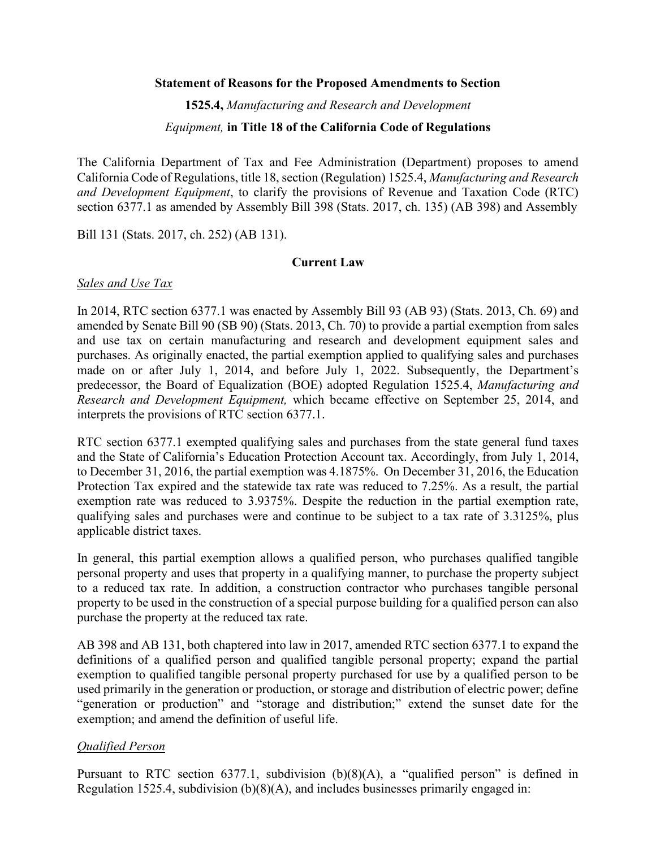#### **Statement of Reasons for the Proposed Amendments to Section**

**1525.4,** *Manufacturing and Research and Development* 

#### *Equipment,* **in Title 18 of the California Code of Regulations**

The California Department of Tax and Fee Administration (Department) proposes to amend California Code of Regulations, title 18, section (Regulation) 1525.4, *Manufacturing and Research and Development Equipment*, to clarify the provisions of Revenue and Taxation Code (RTC) section 6377.1 as amended by Assembly Bill 398 (Stats. 2017, ch. 135) (AB 398) and Assembly

Bill 131 (Stats. 2017, ch. 252) (AB 131).

### **Current Law**

### *Sales and Use Tax*

In 2014, RTC section 6377.1 was enacted by Assembly Bill 93 (AB 93) (Stats. 2013, Ch. 69) and amended by Senate Bill 90 (SB 90) (Stats. 2013, Ch. 70) to provide a partial exemption from sales and use tax on certain manufacturing and research and development equipment sales and purchases. As originally enacted, the partial exemption applied to qualifying sales and purchases made on or after July 1, 2014, and before July 1, 2022. Subsequently, the Department's predecessor, the Board of Equalization (BOE) adopted Regulation 1525.4, *Manufacturing and Research and Development Equipment,* which became effective on September 25, 2014, and interprets the provisions of RTC section 6377.1.

RTC section 6377.1 exempted qualifying sales and purchases from the state general fund taxes and the State of California's Education Protection Account tax. Accordingly, from July 1, 2014, to December 31, 2016, the partial exemption was 4.1875%. On December 31, 2016, the Education Protection Tax expired and the statewide tax rate was reduced to 7.25%. As a result, the partial exemption rate was reduced to 3.9375%. Despite the reduction in the partial exemption rate, qualifying sales and purchases were and continue to be subject to a tax rate of 3.3125%, plus applicable district taxes.

In general, this partial exemption allows a qualified person, who purchases qualified tangible personal property and uses that property in a qualifying manner, to purchase the property subject to a reduced tax rate. In addition, a construction contractor who purchases tangible personal property to be used in the construction of a special purpose building for a qualified person can also purchase the property at the reduced tax rate.

AB 398 and AB 131, both chaptered into law in 2017, amended RTC section 6377.1 to expand the definitions of a qualified person and qualified tangible personal property; expand the partial exemption to qualified tangible personal property purchased for use by a qualified person to be used primarily in the generation or production, or storage and distribution of electric power; define "generation or production" and "storage and distribution;" extend the sunset date for the exemption; and amend the definition of useful life.

## *Qualified Person*

Pursuant to RTC section 6377.1, subdivision (b)(8)(A), a "qualified person" is defined in Regulation 1525.4, subdivision (b)(8)(A), and includes businesses primarily engaged in: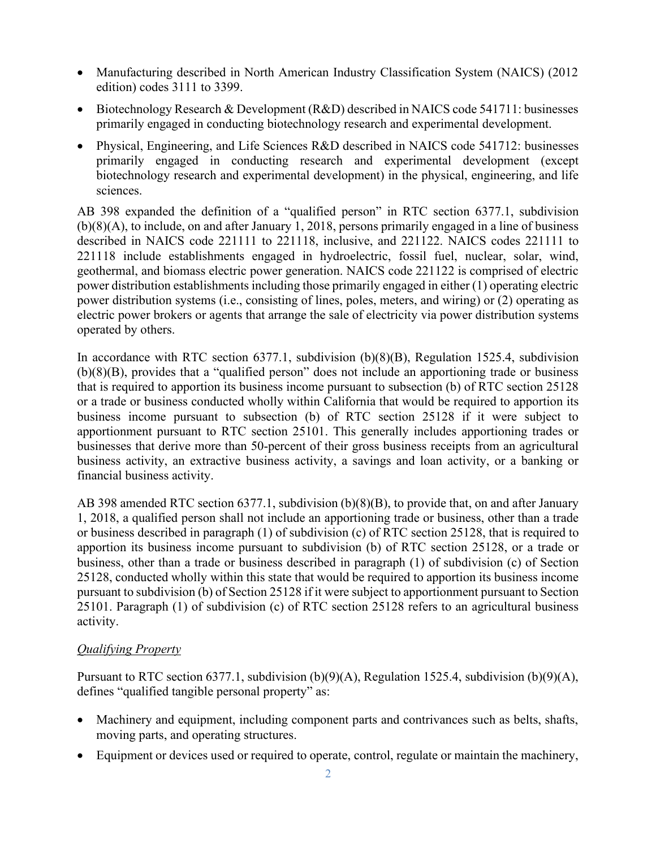- Manufacturing described in North American Industry Classification System (NAICS) (2012) edition) codes 3111 to 3399.
- Biotechnology Research & Development (R&D) described in NAICS code 541711: businesses primarily engaged in conducting biotechnology research and experimental development.
- Physical, Engineering, and Life Sciences R&D described in NAICS code 541712: businesses primarily engaged in conducting research and experimental development (except biotechnology research and experimental development) in the physical, engineering, and life sciences.

AB 398 expanded the definition of a "qualified person" in RTC section 6377.1, subdivision (b)(8)(A), to include, on and after January 1, 2018, persons primarily engaged in a line of business described in NAICS code 221111 to 221118, inclusive, and 221122. NAICS codes 221111 to 221118 include establishments engaged in hydroelectric, fossil fuel, nuclear, solar, wind, geothermal, and biomass electric power generation. NAICS code 221122 is comprised of electric power distribution establishments including those primarily engaged in either (1) operating electric power distribution systems (i.e., consisting of lines, poles, meters, and wiring) or (2) operating as electric power brokers or agents that arrange the sale of electricity via power distribution systems operated by others.

In accordance with RTC section 6377.1, subdivision (b)(8)(B), Regulation 1525.4, subdivision (b)(8)(B), provides that a "qualified person" does not include an apportioning trade or business that is required to apportion its business income pursuant to subsection (b) of RTC section 25128 or a trade or business conducted wholly within California that would be required to apportion its business income pursuant to subsection (b) of RTC section 25128 if it were subject to apportionment pursuant to RTC section 25101. This generally includes apportioning trades or businesses that derive more than 50-percent of their gross business receipts from an agricultural business activity, an extractive business activity, a savings and loan activity, or a banking or financial business activity.

AB 398 amended RTC section 6377.1, subdivision (b)(8)(B), to provide that, on and after January 1, 2018, a qualified person shall not include an apportioning trade or business, other than a trade or business described in paragraph (1) of subdivision (c) of RTC section 25128, that is required to apportion its business income pursuant to subdivision (b) of RTC section 25128, or a trade or business, other than a trade or business described in paragraph (1) of subdivision (c) of Section 25128, conducted wholly within this state that would be required to apportion its business income pursuant to subdivision (b) of Section 25128 if it were subject to apportionment pursuant to Section 25101. Paragraph (1) of subdivision (c) of RTC section 25128 refers to an agricultural business activity.

## *Qualifying Property*

Pursuant to RTC section 6377.1, subdivision (b)(9)(A), Regulation 1525.4, subdivision (b)(9)(A), defines "qualified tangible personal property" as:

- Machinery and equipment, including component parts and contrivances such as belts, shafts, moving parts, and operating structures.
- Equipment or devices used or required to operate, control, regulate or maintain the machinery,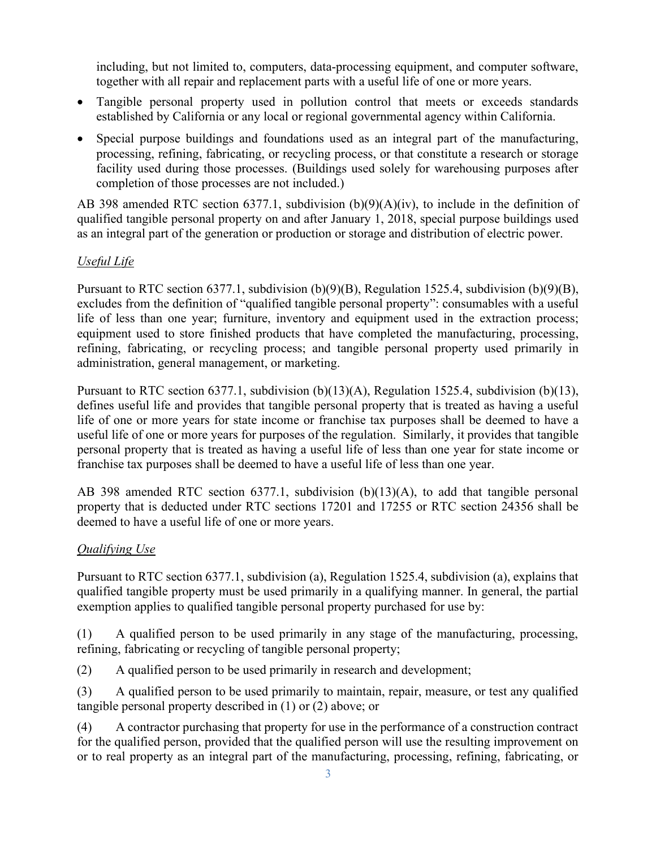including, but not limited to, computers, data-processing equipment, and computer software, together with all repair and replacement parts with a useful life of one or more years.

- Tangible personal property used in pollution control that meets or exceeds standards established by California or any local or regional governmental agency within California.
- Special purpose buildings and foundations used as an integral part of the manufacturing, processing, refining, fabricating, or recycling process, or that constitute a research or storage facility used during those processes. (Buildings used solely for warehousing purposes after completion of those processes are not included.)

AB 398 amended RTC section 6377.1, subdivision (b)(9)(A)(iv), to include in the definition of qualified tangible personal property on and after January 1, 2018, special purpose buildings used as an integral part of the generation or production or storage and distribution of electric power.

## *Useful Life*

Pursuant to RTC section 6377.1, subdivision (b)(9)(B), Regulation 1525.4, subdivision (b)(9)(B), excludes from the definition of "qualified tangible personal property": consumables with a useful life of less than one year; furniture, inventory and equipment used in the extraction process; equipment used to store finished products that have completed the manufacturing, processing, refining, fabricating, or recycling process; and tangible personal property used primarily in administration, general management, or marketing.

Pursuant to RTC section 6377.1, subdivision (b)(13)(A), Regulation 1525.4, subdivision (b)(13), defines useful life and provides that tangible personal property that is treated as having a useful life of one or more years for state income or franchise tax purposes shall be deemed to have a useful life of one or more years for purposes of the regulation. Similarly, it provides that tangible personal property that is treated as having a useful life of less than one year for state income or franchise tax purposes shall be deemed to have a useful life of less than one year.

AB 398 amended RTC section 6377.1, subdivision (b)(13)(A), to add that tangible personal property that is deducted under RTC sections 17201 and 17255 or RTC section 24356 shall be deemed to have a useful life of one or more years.

# *Qualifying Use*

Pursuant to RTC section 6377.1, subdivision (a), Regulation 1525.4, subdivision (a), explains that qualified tangible property must be used primarily in a qualifying manner. In general, the partial exemption applies to qualified tangible personal property purchased for use by:

(1) A qualified person to be used primarily in any stage of the manufacturing, processing, refining, fabricating or recycling of tangible personal property;

(2) A qualified person to be used primarily in research and development;

(3) A qualified person to be used primarily to maintain, repair, measure, or test any qualified tangible personal property described in (1) or (2) above; or

(4) A contractor purchasing that property for use in the performance of a construction contract for the qualified person, provided that the qualified person will use the resulting improvement on or to real property as an integral part of the manufacturing, processing, refining, fabricating, or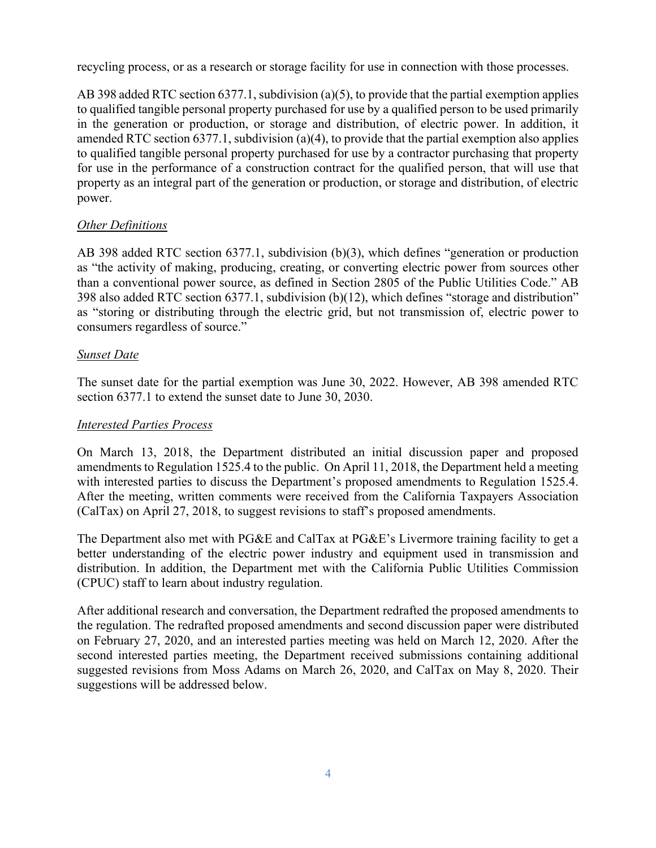recycling process, or as a research or storage facility for use in connection with those processes.

AB 398 added RTC section 6377.1, subdivision (a)(5), to provide that the partial exemption applies to qualified tangible personal property purchased for use by a qualified person to be used primarily in the generation or production, or storage and distribution, of electric power. In addition, it amended RTC section 6377.1, subdivision (a)(4), to provide that the partial exemption also applies to qualified tangible personal property purchased for use by a contractor purchasing that property for use in the performance of a construction contract for the qualified person, that will use that property as an integral part of the generation or production, or storage and distribution, of electric power.

## *Other Definitions*

AB 398 added RTC section 6377.1, subdivision (b)(3), which defines "generation or production as "the activity of making, producing, creating, or converting electric power from sources other than a conventional power source, as defined in Section 2805 of the Public Utilities Code." AB 398 also added RTC section 6377.1, subdivision (b)(12), which defines "storage and distribution" as "storing or distributing through the electric grid, but not transmission of, electric power to consumers regardless of source."

### *Sunset Date*

The sunset date for the partial exemption was June 30, 2022. However, AB 398 amended RTC section 6377.1 to extend the sunset date to June 30, 2030.

#### *Interested Parties Process*

On March 13, 2018, the Department distributed an initial discussion paper and proposed amendments to Regulation 1525.4 to the public. On April 11, 2018, the Department held a meeting with interested parties to discuss the Department's proposed amendments to Regulation 1525.4. After the meeting, written comments were received from the California Taxpayers Association (CalTax) on April 27, 2018, to suggest revisions to staff's proposed amendments.

The Department also met with PG&E and CalTax at PG&E's Livermore training facility to get a better understanding of the electric power industry and equipment used in transmission and distribution. In addition, the Department met with the California Public Utilities Commission (CPUC) staff to learn about industry regulation.

After additional research and conversation, the Department redrafted the proposed amendments to the regulation. The redrafted proposed amendments and second discussion paper were distributed on February 27, 2020, and an interested parties meeting was held on March 12, 2020. After the second interested parties meeting, the Department received submissions containing additional suggested revisions from Moss Adams on March 26, 2020, and CalTax on May 8, 2020. Their suggestions will be addressed below.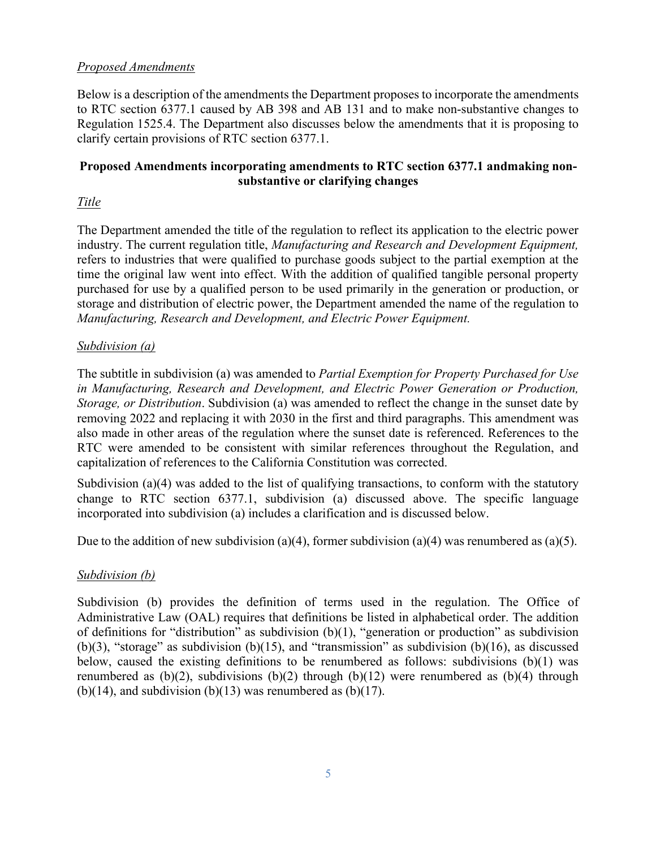## *Proposed Amendments*

Below is a description of the amendments the Department proposes to incorporate the amendments to RTC section 6377.1 caused by AB 398 and AB 131 and to make non-substantive changes to Regulation 1525.4. The Department also discusses below the amendments that it is proposing to clarify certain provisions of RTC section 6377.1.

## **Proposed Amendments incorporating amendments to RTC section 6377.1 and making nonsubstantive or clarifying changes**

## *Title*

The Department amended the title of the regulation to reflect its application to the electric power industry. The current regulation title, *Manufacturing and Research and Development Equipment,* refers to industries that were qualified to purchase goods subject to the partial exemption at the time the original law went into effect. With the addition of qualified tangible personal property purchased for use by a qualified person to be used primarily in the generation or production, or storage and distribution of electric power, the Department amended the name of the regulation to *Manufacturing, Research and Development, and Electric Power Equipment.* 

### *Subdivision (a)*

The subtitle in subdivision (a) was amended to *Partial Exemption for Property Purchased for Use in Manufacturing, Research and Development, and Electric Power Generation or Production, Storage, or Distribution*. Subdivision (a) was amended to reflect the change in the sunset date by removing 2022 and replacing it with 2030 in the first and third paragraphs. This amendment was also made in other areas of the regulation where the sunset date is referenced. References to the RTC were amended to be consistent with similar references throughout the Regulation, and capitalization of references to the California Constitution was corrected.

Subdivision (a)(4) was added to the list of qualifying transactions, to conform with the statutory change to RTC section 6377.1, subdivision (a) discussed above. The specific language incorporated into subdivision (a) includes a clarification and is discussed below.

Due to the addition of new subdivision (a)(4), former subdivision (a)(4) was renumbered as (a)(5).

## *Subdivision (b)*

Subdivision (b) provides the definition of terms used in the regulation. The Office of Administrative Law (OAL) requires that definitions be listed in alphabetical order. The addition of definitions for "distribution" as subdivision (b)(1), "generation or production" as subdivision (b)(3), "storage" as subdivision (b)(15), and "transmission" as subdivision (b)(16), as discussed below, caused the existing definitions to be renumbered as follows: subdivisions  $(b)(1)$  was renumbered as  $(b)(2)$ , subdivisions  $(b)(2)$  through  $(b)(12)$  were renumbered as  $(b)(4)$  through (b)(14), and subdivision (b)(13) was renumbered as (b)(17).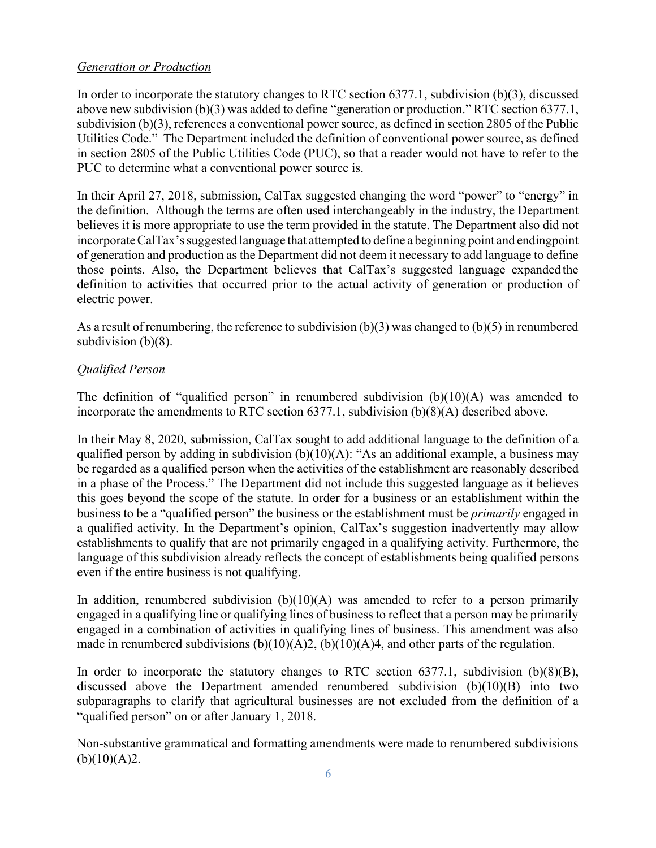#### *Generation or Production*

In order to incorporate the statutory changes to RTC section 6377.1, subdivision (b)(3), discussed above new subdivision (b)(3) was added to define "generation or production." RTC section 6377.1, subdivision (b)(3), references a conventional power source, as defined in section 2805 of the Public Utilities Code." The Department included the definition of conventional power source, as defined in section 2805 of the Public Utilities Code (PUC), so that a reader would not have to refer to the PUC to determine what a conventional power source is.

In their April 27, 2018, submission, CalTax suggested changing the word "power" to "energy" in the definition. Although the terms are often used interchangeably in the industry, the Department believes it is more appropriate to use the term provided in the statute. The Department also did not incorporate CalTax's suggested language that attempted to define a beginning point and ending point of generation and production as the Department did not deem it necessary to add language to define those points. Also, the Department believes that CalTax's suggested language expanded the definition to activities that occurred prior to the actual activity of generation or production of electric power.

As a result of renumbering, the reference to subdivision  $(b)(3)$  was changed to  $(b)(5)$  in renumbered subdivision (b)(8).

## *Qualified Person*

The definition of "qualified person" in renumbered subdivision  $(b)(10)(A)$  was amended to incorporate the amendments to RTC section 6377.1, subdivision (b)(8)(A) described above.

In their May 8, 2020, submission, CalTax sought to add additional language to the definition of a qualified person by adding in subdivision  $(b)(10)(A)$ : "As an additional example, a business may be regarded as a qualified person when the activities of the establishment are reasonably described in a phase of the Process." The Department did not include this suggested language as it believes this goes beyond the scope of the statute. In order for a business or an establishment within the business to be a "qualified person" the business or the establishment must be *primarily* engaged in a qualified activity. In the Department's opinion, CalTax's suggestion inadvertently may allow establishments to qualify that are not primarily engaged in a qualifying activity. Furthermore, the language of this subdivision already reflects the concept of establishments being qualified persons even if the entire business is not qualifying.

In addition, renumbered subdivision  $(b)(10)(A)$  was amended to refer to a person primarily engaged in a qualifying line or qualifying lines of business to reflect that a person may be primarily engaged in a combination of activities in qualifying lines of business. This amendment was also made in renumbered subdivisions  $(b)(10)(A)2$ ,  $(b)(10)(A)4$ , and other parts of the regulation.

In order to incorporate the statutory changes to RTC section  $6377.1$ , subdivision  $(b)(8)(B)$ , discussed above the Department amended renumbered subdivision (b)(10)(B) into two subparagraphs to clarify that agricultural businesses are not excluded from the definition of a "qualified person" on or after January 1, 2018.

Non-substantive grammatical and formatting amendments were made to renumbered subdivisions  $(b)(10)(A)2.$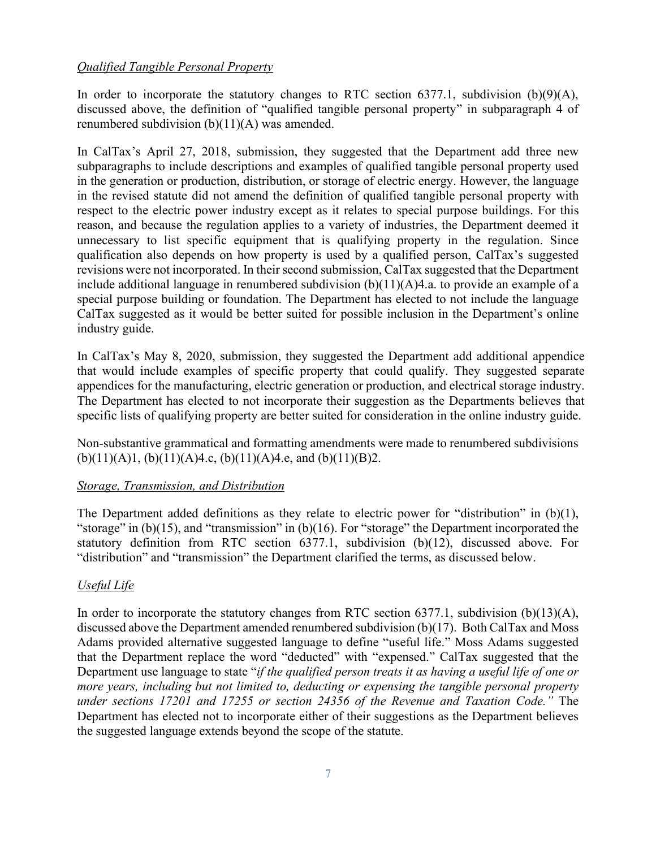### *Qualified Tangible Personal Property*

In order to incorporate the statutory changes to RTC section  $6377.1$ , subdivision  $(b)(9)(A)$ , discussed above, the definition of "qualified tangible personal property" in subparagraph 4 of renumbered subdivision (b)(11)(A) was amended.

In CalTax's April 27, 2018, submission, they suggested that the Department add three new subparagraphs to include descriptions and examples of qualified tangible personal property used in the generation or production, distribution, or storage of electric energy. However, the language in the revised statute did not amend the definition of qualified tangible personal property with respect to the electric power industry except as it relates to special purpose buildings. For this reason, and because the regulation applies to a variety of industries, the Department deemed it unnecessary to list specific equipment that is qualifying property in the regulation. Since qualification also depends on how property is used by a qualified person, CalTax's suggested revisions were not incorporated. In their second submission, CalTax suggested that the Department include additional language in renumbered subdivision (b)(11)(A)4.a. to provide an example of a special purpose building or foundation. The Department has elected to not include the language CalTax suggested as it would be better suited for possible inclusion in the Department's online industry guide.

In CalTax's May 8, 2020, submission, they suggested the Department add additional appendice that would include examples of specific property that could qualify. They suggested separate appendices for the manufacturing, electric generation or production, and electrical storage industry. The Department has elected to not incorporate their suggestion as the Departments believes that specific lists of qualifying property are better suited for consideration in the online industry guide.

Non-substantive grammatical and formatting amendments were made to renumbered subdivisions  $(b)(11)(A)1, (b)(11)(A)4.c, (b)(11)(A)4.e, and (b)(11)(B)2.$ 

#### *Storage, Transmission, and Distribution*

The Department added definitions as they relate to electric power for "distribution" in (b)(1), "storage" in (b)(15), and "transmission" in (b)(16). For "storage" the Department incorporated the statutory definition from RTC section 6377.1, subdivision (b)(12), discussed above. For "distribution" and "transmission" the Department clarified the terms, as discussed below.

#### *Useful Life*

In order to incorporate the statutory changes from RTC section 6377.1, subdivision (b)(13)(A), discussed above the Department amended renumbered subdivision (b)(17). Both CalTax and Moss Adams provided alternative suggested language to define "useful life." Moss Adams suggested that the Department replace the word "deducted" with "expensed." CalTax suggested that the Department use language to state "*if the qualified person treats it as having a useful life of one or more years, including but not limited to, deducting or expensing the tangible personal property under sections 17201 and 17255 or section 24356 of the Revenue and Taxation Code."* The Department has elected not to incorporate either of their suggestions as the Department believes the suggested language extends beyond the scope of the statute.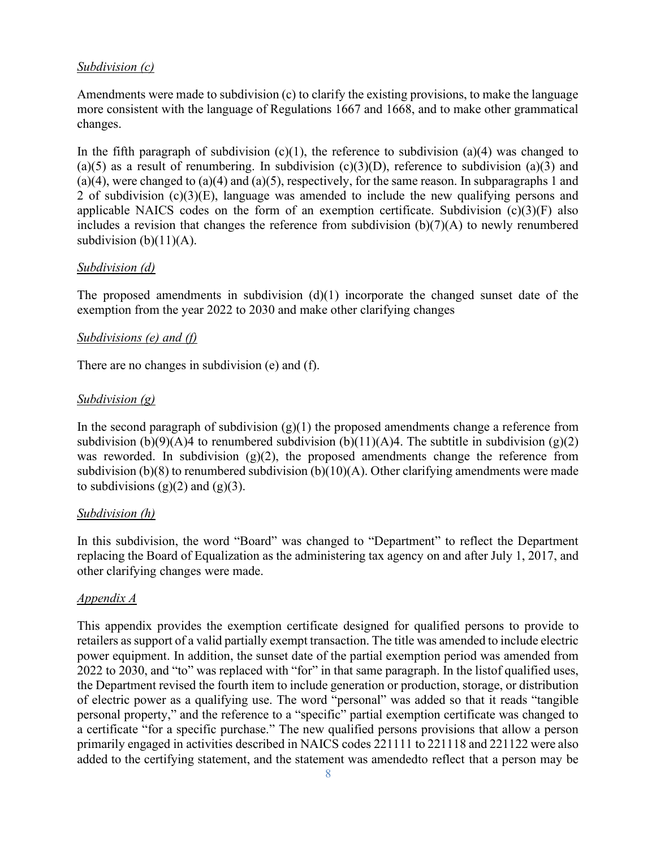### *Subdivision (c)*

Amendments were made to subdivision (c) to clarify the existing provisions, to make the language more consistent with the language of Regulations 1667 and 1668, and to make other grammatical changes.

In the fifth paragraph of subdivision  $(c)(1)$ , the reference to subdivision  $(a)(4)$  was changed to (a)(5) as a result of renumbering. In subdivision (c)(3)(D), reference to subdivision (a)(3) and  $(a)(4)$ , were changed to  $(a)(4)$  and  $(a)(5)$ , respectively, for the same reason. In subparagraphs 1 and 2 of subdivision (c)(3)(E), language was amended to include the new qualifying persons and applicable NAICS codes on the form of an exemption certificate. Subdivision  $(c)(3)(F)$  also includes a revision that changes the reference from subdivision (b)(7)(A) to newly renumbered subdivision  $(b)(11)(A)$ .

#### *Subdivision (d)*

The proposed amendments in subdivision  $(d)(1)$  incorporate the changed sunset date of the exemption from the year 2022 to 2030 and make other clarifying changes

### *Subdivisions (e) and (f)*

There are no changes in subdivision (e) and (f).

### *Subdivision (g)*

In the second paragraph of subdivision  $(g)(1)$  the proposed amendments change a reference from subdivision (b)(9)(A)4 to renumbered subdivision (b)(11)(A)4. The subtitle in subdivision (g)(2) was reworded. In subdivision  $(g)(2)$ , the proposed amendments change the reference from subdivision (b)(8) to renumbered subdivision (b)(10)(A). Other clarifying amendments were made to subdivisions  $(g)(2)$  and  $(g)(3)$ .

#### *Subdivision (h)*

In this subdivision, the word "Board" was changed to "Department" to reflect the Department replacing the Board of Equalization as the administering tax agency on and after July 1, 2017, and other clarifying changes were made.

#### *Appendix A*

This appendix provides the exemption certificate designed for qualified persons to provide to retailers as support of a valid partially exempt transaction. The title was amended to include electric power equipment. In addition, the sunset date of the partial exemption period was amended from 2022 to 2030, and "to" was replaced with "for" in that same paragraph. In the listof qualified uses, the Department revised the fourth item to include generation or production, storage, or distribution of electric power as a qualifying use. The word "personal" was added so that it reads "tangible personal property," and the reference to a "specific" partial exemption certificate was changed to a certificate "for a specific purchase." The new qualified persons provisions that allow a person primarily engaged in activities described in NAICS codes 221111 to 221118 and 221122 were also added to the certifying statement, and the statement was amendedto reflect that a person may be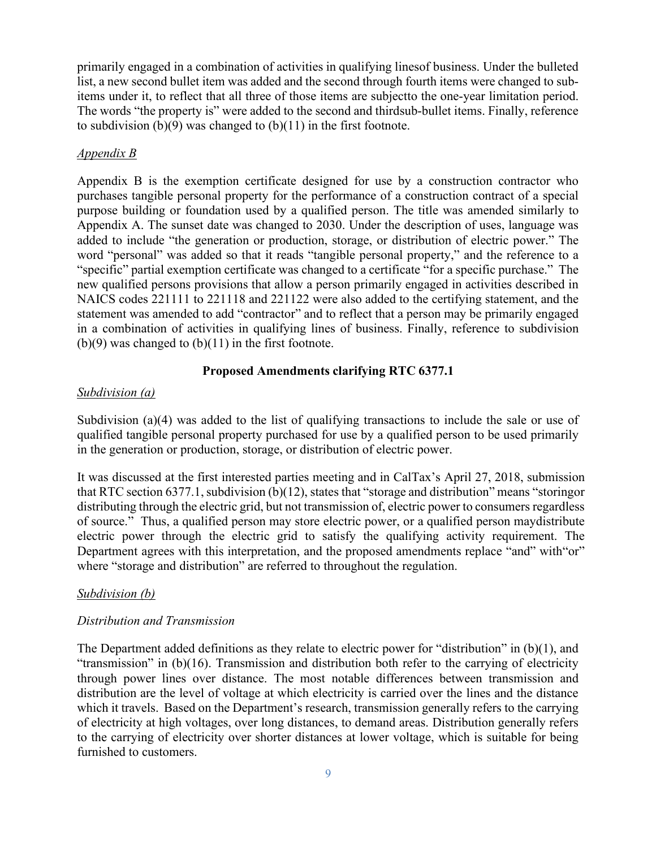primarily engaged in a combination of activities in qualifying lines of business. Under the bulleted list, a new second bullet item was added and the second through fourth items were changed to subitems under it, to reflect that all three of those items are subjectto the one-year limitation period. The words "the property is" were added to the second and third sub-bullet items. Finally, reference to subdivision  $(b)(9)$  was changed to  $(b)(11)$  in the first footnote.

#### *Appendix B*

Appendix B is the exemption certificate designed for use by a construction contractor who purchases tangible personal property for the performance of a construction contract of a special purpose building or foundation used by a qualified person. The title was amended similarly to Appendix A. The sunset date was changed to 2030. Under the description of uses, language was added to include "the generation or production, storage, or distribution of electric power." The word "personal" was added so that it reads "tangible personal property," and the reference to a "specific" partial exemption certificate was changed to a certificate "for a specific purchase." The new qualified persons provisions that allow a person primarily engaged in activities described in NAICS codes 221111 to 221118 and 221122 were also added to the certifying statement, and the statement was amended to add "contractor" and to reflect that a person may be primarily engaged in a combination of activities in qualifying lines of business. Finally, reference to subdivision  $(b)(9)$  was changed to  $(b)(11)$  in the first footnote.

#### **Proposed Amendments clarifying RTC 6377.1**

#### *Subdivision (a)*

Subdivision (a)(4) was added to the list of qualifying transactions to include the sale or use of qualified tangible personal property purchased for use by a qualified person to be used primarily in the generation or production, storage, or distribution of electric power.

It was discussed at the first interested parties meeting and in CalTax's April 27, 2018, submission that RTC section  $6377.1$ , subdivision (b)(12), states that "storage and distribution" means "storing or distributing through the electric grid, but not transmission of, electric power to consumers regardless of source." Thus, a qualified person may store electric power, or a qualified person maydistribute electric power through the electric grid to satisfy the qualifying activity requirement. The Department agrees with this interpretation, and the proposed amendments replace "and" with "or" where "storage and distribution" are referred to throughout the regulation.

#### *Subdivision (b)*

#### *Distribution and Transmission*

The Department added definitions as they relate to electric power for "distribution" in (b)(1), and "transmission" in (b)(16). Transmission and distribution both refer to the carrying of electricity through power lines over distance. The most notable differences between transmission and distribution are the level of voltage at which electricity is carried over the lines and the distance which it travels. Based on the Department's research, transmission generally refers to the carrying of electricity at high voltages, over long distances, to demand areas. Distribution generally refers to the carrying of electricity over shorter distances at lower voltage, which is suitable for being furnished to customers.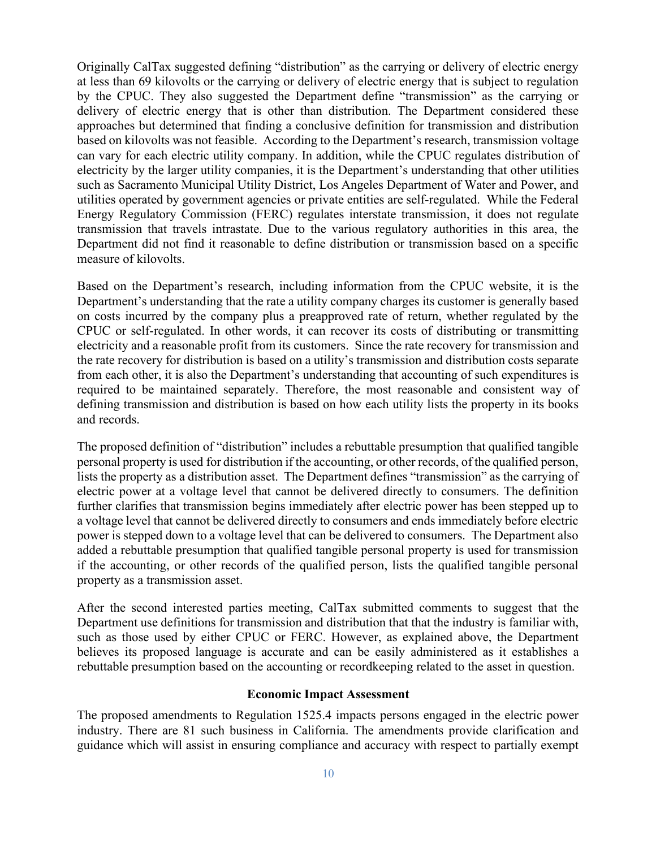Originally CalTax suggested defining "distribution" as the carrying or delivery of electric energy at less than 69 kilovolts or the carrying or delivery of electric energy that is subject to regulation by the CPUC. They also suggested the Department define "transmission" as the carrying or delivery of electric energy that is other than distribution. The Department considered these approaches but determined that finding a conclusive definition for transmission and distribution based on kilovolts was not feasible. According to the Department's research, transmission voltage can vary for each electric utility company. In addition, while the CPUC regulates distribution of electricity by the larger utility companies, it is the Department's understanding that other utilities such as Sacramento Municipal Utility District, Los Angeles Department of Water and Power, and utilities operated by government agencies or private entities are self-regulated. While the Federal Energy Regulatory Commission (FERC) regulates interstate transmission, it does not regulate transmission that travels intrastate. Due to the various regulatory authorities in this area, the Department did not find it reasonable to define distribution or transmission based on a specific measure of kilovolts.

Based on the Department's research, including information from the CPUC website, it is the Department's understanding that the rate a utility company charges its customer is generally based on costs incurred by the company plus a preapproved rate of return, whether regulated by the CPUC or self-regulated. In other words, it can recover its costs of distributing or transmitting electricity and a reasonable profit from its customers. Since the rate recovery for transmission and the rate recovery for distribution is based on a utility's transmission and distribution costs separate from each other, it is also the Department's understanding that accounting of such expenditures is required to be maintained separately. Therefore, the most reasonable and consistent way of defining transmission and distribution is based on how each utility lists the property in its books and records.

The proposed definition of "distribution" includes a rebuttable presumption that qualified tangible personal property is used for distribution if the accounting, or other records, of the qualified person, lists the property as a distribution asset. The Department defines "transmission" as the carrying of electric power at a voltage level that cannot be delivered directly to consumers. The definition further clarifies that transmission begins immediately after electric power has been stepped up to a voltage level that cannot be delivered directly to consumers and ends immediately before electric power is stepped down to a voltage level that can be delivered to consumers. The Department also added a rebuttable presumption that qualified tangible personal property is used for transmission if the accounting, or other records of the qualified person, lists the qualified tangible personal property as a transmission asset.

After the second interested parties meeting, CalTax submitted comments to suggest that the Department use definitions for transmission and distribution that that the industry is familiar with, such as those used by either CPUC or FERC. However, as explained above, the Department believes its proposed language is accurate and can be easily administered as it establishes a rebuttable presumption based on the accounting or recordkeeping related to the asset in question.

#### **Economic Impact Assessment**

The proposed amendments to Regulation 1525.4 impacts persons engaged in the electric power industry. There are 81 such business in California. The amendments provide clarification and guidance which will assist in ensuring compliance and accuracy with respect to partially exempt